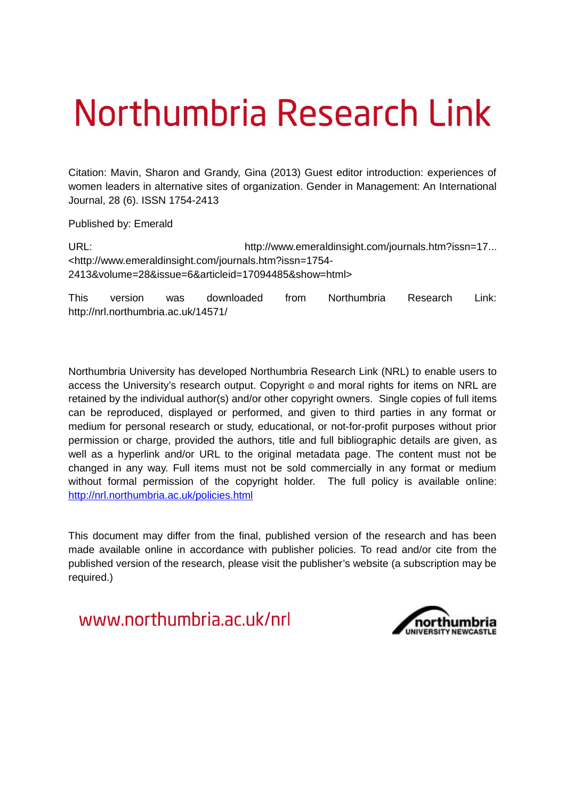## Northumbria Research Link

Citation: Mavin, Sharon and Grandy, Gina (2013) Guest editor introduction: experiences of women leaders in alternative sites of organization. Gender in Management: An International Journal, 28 (6). ISSN 1754-2413

Published by: Emerald

URL: http://www.emeraldinsight.com/journals.htm?issn=17... <http://www.emeraldinsight.com/journals.htm?issn=1754- 2413&volume=28&issue=6&articleid=17094485&show=html>

This version was downloaded from Northumbria Research Link: http://nrl.northumbria.ac.uk/14571/

Northumbria University has developed Northumbria Research Link (NRL) to enable users to access the University's research output. Copyright  $\circ$  and moral rights for items on NRL are retained by the individual author(s) and/or other copyright owners. Single copies of full items can be reproduced, displayed or performed, and given to third parties in any format or medium for personal research or study, educational, or not-for-profit purposes without prior permission or charge, provided the authors, title and full bibliographic details are given, as well as a hyperlink and/or URL to the original metadata page. The content must not be changed in any way. Full items must not be sold commercially in any format or medium without formal permission of the copyright holder. The full policy is available online: <http://nrl.northumbria.ac.uk/policies.html>

This document may differ from the final, published version of the research and has been made available online in accordance with publisher policies. To read and/or cite from the published version of the research, please visit the publisher's website (a subscription may be required.)

www.northumbria.ac.uk/nrl

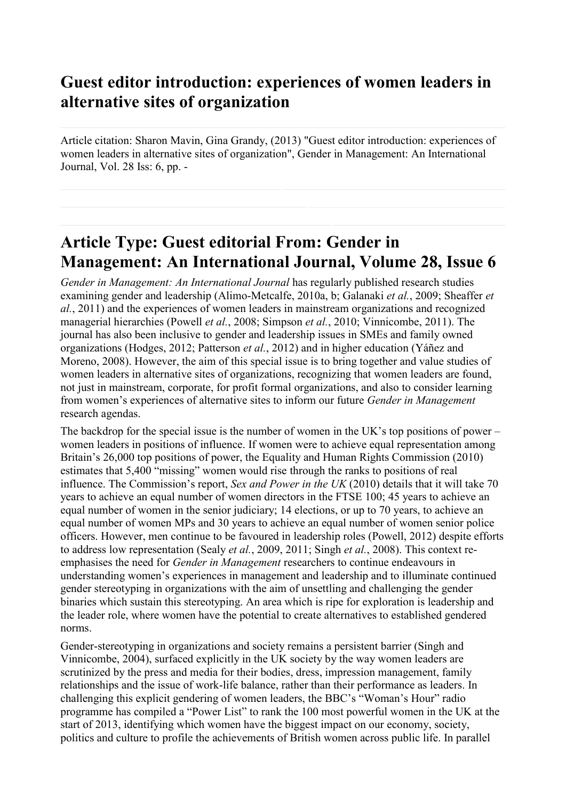## **Guest editor introduction: experiences of women leaders in alternative sites of organization**

Article citation: Sharon Mavin, Gina Grandy, (2013) "Guest editor introduction: experiences of women leaders in alternative sites of organization", Gender in Management: An International Journal, Vol. 28 Iss: 6, pp. -

## **Article Type: Guest editorial From: Gender in Management: An International Journal, Volume 28, Issue 6**

*Gender in Management: An International Journal* has regularly published research studies examining gender and leadership (Alimo-Metcalfe, 2010a, b; Galanaki *et al.*, 2009; Sheaffer *et al.*, 2011) and the experiences of women leaders in mainstream organizations and recognized managerial hierarchies (Powell *et al.*, 2008; Simpson *et al.*, 2010; Vinnicombe, 2011). The journal has also been inclusive to gender and leadership issues in SMEs and family owned organizations (Hodges, 2012; Patterson *et al.*, 2012) and in higher education (Yáñez and Moreno, 2008). However, the aim of this special issue is to bring together and value studies of women leaders in alternative sites of organizations, recognizing that women leaders are found, not just in mainstream, corporate, for profit formal organizations, and also to consider learning from women's experiences of alternative sites to inform our future *Gender in Management* research agendas.

The backdrop for the special issue is the number of women in the UK's top positions of power – women leaders in positions of influence. If women were to achieve equal representation among Britain's 26,000 top positions of power, the Equality and Human Rights Commission (2010) estimates that 5,400 "missing" women would rise through the ranks to positions of real influence. The Commission's report, *Sex and Power in the UK* (2010) details that it will take 70 years to achieve an equal number of women directors in the FTSE 100; 45 years to achieve an equal number of women in the senior judiciary; 14 elections, or up to 70 years, to achieve an equal number of women MPs and 30 years to achieve an equal number of women senior police officers. However, men continue to be favoured in leadership roles (Powell, 2012) despite efforts to address low representation (Sealy *et al.*, 2009, 2011; Singh *et al.*, 2008). This context reemphasises the need for *Gender in Management* researchers to continue endeavours in understanding women's experiences in management and leadership and to illuminate continued gender stereotyping in organizations with the aim of unsettling and challenging the gender binaries which sustain this stereotyping. An area which is ripe for exploration is leadership and the leader role, where women have the potential to create alternatives to established gendered norms.

Gender-stereotyping in organizations and society remains a persistent barrier (Singh and Vinnicombe, 2004), surfaced explicitly in the UK society by the way women leaders are scrutinized by the press and media for their bodies, dress, impression management, family relationships and the issue of work-life balance, rather than their performance as leaders. In challenging this explicit gendering of women leaders, the BBC's "Woman's Hour" radio programme has compiled a "Power List" to rank the 100 most powerful women in the UK at the start of 2013, identifying which women have the biggest impact on our economy, society, politics and culture to profile the achievements of British women across public life. In parallel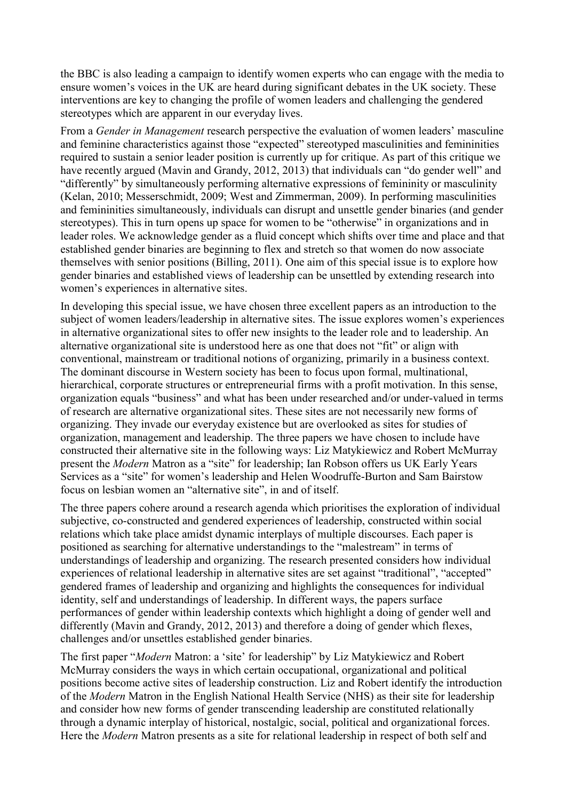the BBC is also leading a campaign to identify women experts who can engage with the media to ensure women's voices in the UK are heard during significant debates in the UK society. These interventions are key to changing the profile of women leaders and challenging the gendered stereotypes which are apparent in our everyday lives.

From a *Gender in Management* research perspective the evaluation of women leaders' masculine and feminine characteristics against those "expected" stereotyped masculinities and femininities required to sustain a senior leader position is currently up for critique. As part of this critique we have recently argued (Mavin and Grandy, 2012, 2013) that individuals can "do gender well" and "differently" by simultaneously performing alternative expressions of femininity or masculinity (Kelan, 2010; Messerschmidt, 2009; West and Zimmerman, 2009). In performing masculinities and femininities simultaneously, individuals can disrupt and unsettle gender binaries (and gender stereotypes). This in turn opens up space for women to be "otherwise" in organizations and in leader roles. We acknowledge gender as a fluid concept which shifts over time and place and that established gender binaries are beginning to flex and stretch so that women do now associate themselves with senior positions (Billing, 2011). One aim of this special issue is to explore how gender binaries and established views of leadership can be unsettled by extending research into women's experiences in alternative sites.

In developing this special issue, we have chosen three excellent papers as an introduction to the subject of women leaders/leadership in alternative sites. The issue explores women's experiences in alternative organizational sites to offer new insights to the leader role and to leadership. An alternative organizational site is understood here as one that does not "fit" or align with conventional, mainstream or traditional notions of organizing, primarily in a business context. The dominant discourse in Western society has been to focus upon formal, multinational, hierarchical, corporate structures or entrepreneurial firms with a profit motivation. In this sense, organization equals "business" and what has been under researched and/or under-valued in terms of research are alternative organizational sites. These sites are not necessarily new forms of organizing. They invade our everyday existence but are overlooked as sites for studies of organization, management and leadership. The three papers we have chosen to include have constructed their alternative site in the following ways: Liz Matykiewicz and Robert McMurray present the *Modern* Matron as a "site" for leadership; Ian Robson offers us UK Early Years Services as a "site" for women's leadership and Helen Woodruffe-Burton and Sam Bairstow focus on lesbian women an "alternative site", in and of itself.

The three papers cohere around a research agenda which prioritises the exploration of individual subjective, co-constructed and gendered experiences of leadership, constructed within social relations which take place amidst dynamic interplays of multiple discourses. Each paper is positioned as searching for alternative understandings to the "malestream" in terms of understandings of leadership and organizing. The research presented considers how individual experiences of relational leadership in alternative sites are set against "traditional", "accepted" gendered frames of leadership and organizing and highlights the consequences for individual identity, self and understandings of leadership. In different ways, the papers surface performances of gender within leadership contexts which highlight a doing of gender well and differently (Mavin and Grandy, 2012, 2013) and therefore a doing of gender which flexes, challenges and/or unsettles established gender binaries.

The first paper "*Modern* Matron: a 'site' for leadership" by Liz Matykiewicz and Robert McMurray considers the ways in which certain occupational, organizational and political positions become active sites of leadership construction. Liz and Robert identify the introduction of the *Modern* Matron in the English National Health Service (NHS) as their site for leadership and consider how new forms of gender transcending leadership are constituted relationally through a dynamic interplay of historical, nostalgic, social, political and organizational forces. Here the *Modern* Matron presents as a site for relational leadership in respect of both self and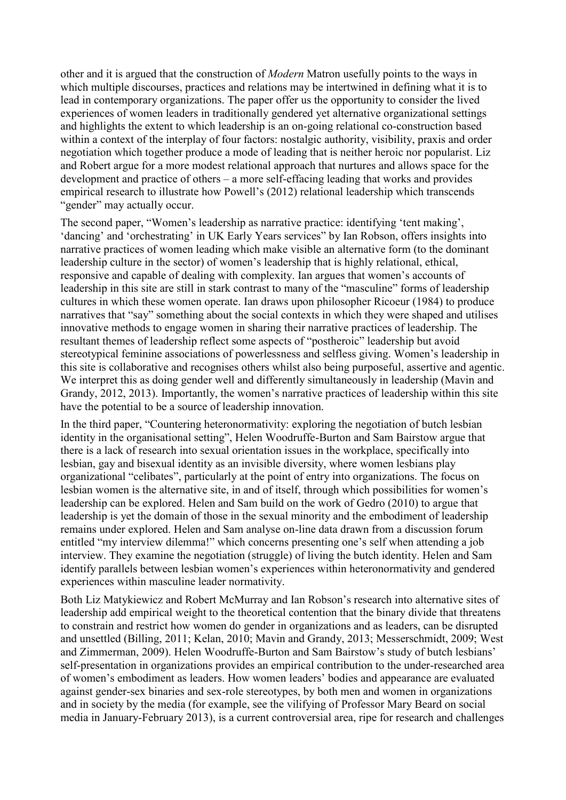other and it is argued that the construction of *Modern* Matron usefully points to the ways in which multiple discourses, practices and relations may be intertwined in defining what it is to lead in contemporary organizations. The paper offer us the opportunity to consider the lived experiences of women leaders in traditionally gendered yet alternative organizational settings and highlights the extent to which leadership is an on-going relational co-construction based within a context of the interplay of four factors: nostalgic authority, visibility, praxis and order negotiation which together produce a mode of leading that is neither heroic nor popularist. Liz and Robert argue for a more modest relational approach that nurtures and allows space for the development and practice of others – a more self-effacing leading that works and provides empirical research to illustrate how Powell's (2012) relational leadership which transcends "gender" may actually occur.

The second paper, "Women's leadership as narrative practice: identifying 'tent making', 'dancing' and 'orchestrating' in UK Early Years services" by Ian Robson, offers insights into narrative practices of women leading which make visible an alternative form (to the dominant leadership culture in the sector) of women's leadership that is highly relational, ethical, responsive and capable of dealing with complexity. Ian argues that women's accounts of leadership in this site are still in stark contrast to many of the "masculine" forms of leadership cultures in which these women operate. Ian draws upon philosopher Ricoeur (1984) to produce narratives that "say" something about the social contexts in which they were shaped and utilises innovative methods to engage women in sharing their narrative practices of leadership. The resultant themes of leadership reflect some aspects of "postheroic" leadership but avoid stereotypical feminine associations of powerlessness and selfless giving. Women's leadership in this site is collaborative and recognises others whilst also being purposeful, assertive and agentic. We interpret this as doing gender well and differently simultaneously in leadership (Mavin and Grandy, 2012, 2013). Importantly, the women's narrative practices of leadership within this site have the potential to be a source of leadership innovation.

In the third paper, "Countering heteronormativity: exploring the negotiation of butch lesbian identity in the organisational setting", Helen Woodruffe-Burton and Sam Bairstow argue that there is a lack of research into sexual orientation issues in the workplace, specifically into lesbian, gay and bisexual identity as an invisible diversity, where women lesbians play organizational "celibates", particularly at the point of entry into organizations. The focus on lesbian women is the alternative site, in and of itself, through which possibilities for women's leadership can be explored. Helen and Sam build on the work of Gedro (2010) to argue that leadership is yet the domain of those in the sexual minority and the embodiment of leadership remains under explored. Helen and Sam analyse on-line data drawn from a discussion forum entitled "my interview dilemma!" which concerns presenting one's self when attending a job interview. They examine the negotiation (struggle) of living the butch identity. Helen and Sam identify parallels between lesbian women's experiences within heteronormativity and gendered experiences within masculine leader normativity.

Both Liz Matykiewicz and Robert McMurray and Ian Robson's research into alternative sites of leadership add empirical weight to the theoretical contention that the binary divide that threatens to constrain and restrict how women do gender in organizations and as leaders, can be disrupted and unsettled (Billing, 2011; Kelan, 2010; Mavin and Grandy, 2013; Messerschmidt, 2009; West and Zimmerman, 2009). Helen Woodruffe-Burton and Sam Bairstow's study of butch lesbians' self-presentation in organizations provides an empirical contribution to the under-researched area of women's embodiment as leaders. How women leaders' bodies and appearance are evaluated against gender-sex binaries and sex-role stereotypes, by both men and women in organizations and in society by the media (for example, see the vilifying of Professor Mary Beard on social media in January-February 2013), is a current controversial area, ripe for research and challenges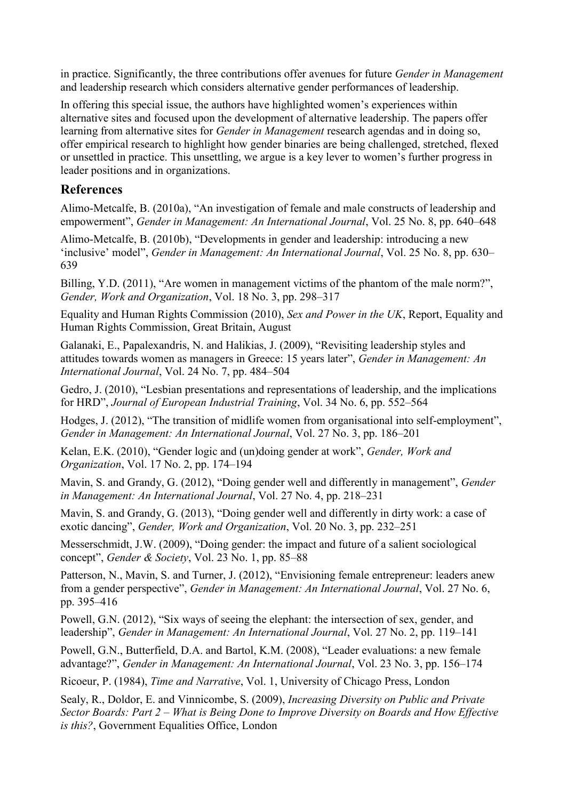in practice. Significantly, the three contributions offer avenues for future *Gender in Management* and leadership research which considers alternative gender performances of leadership.

In offering this special issue, the authors have highlighted women's experiences within alternative sites and focused upon the development of alternative leadership. The papers offer learning from alternative sites for *Gender in Management* research agendas and in doing so, offer empirical research to highlight how gender binaries are being challenged, stretched, flexed or unsettled in practice. This unsettling, we argue is a key lever to women's further progress in leader positions and in organizations.

## **References**

Alimo-Metcalfe, B. (2010a), "An investigation of female and male constructs of leadership and empowerment", *Gender in Management: An International Journal*, Vol. 25 No. 8, pp. 640–648

Alimo-Metcalfe, B. (2010b), "Developments in gender and leadership: introducing a new 'inclusive' model", *Gender in Management: An International Journal*, Vol. 25 No. 8, pp. 630– 639

Billing, Y.D. (2011), "Are women in management victims of the phantom of the male norm?", *Gender, Work and Organization*, Vol. 18 No. 3, pp. 298–317

Equality and Human Rights Commission (2010), *Sex and Power in the UK*, Report, Equality and Human Rights Commission, Great Britain, August

Galanaki, E., Papalexandris, N. and Halikias, J. (2009), "Revisiting leadership styles and attitudes towards women as managers in Greece: 15 years later", *Gender in Management: An International Journal*, Vol. 24 No. 7, pp. 484–504

Gedro, J. (2010), "Lesbian presentations and representations of leadership, and the implications for HRD", *Journal of European Industrial Training*, Vol. 34 No. 6, pp. 552–564

Hodges, J. (2012), "The transition of midlife women from organisational into self-employment", *Gender in Management: An International Journal*, Vol. 27 No. 3, pp. 186–201

Kelan, E.K. (2010), "Gender logic and (un)doing gender at work", *Gender, Work and Organization*, Vol. 17 No. 2, pp. 174–194

Mavin, S. and Grandy, G. (2012), "Doing gender well and differently in management", *Gender in Management: An International Journal*, Vol. 27 No. 4, pp. 218–231

Mavin, S. and Grandy, G. (2013), "Doing gender well and differently in dirty work: a case of exotic dancing", *Gender, Work and Organization*, Vol. 20 No. 3, pp. 232–251

Messerschmidt, J.W. (2009), "Doing gender: the impact and future of a salient sociological concept", *Gender & Society*, Vol. 23 No. 1, pp. 85–88

Patterson, N., Mavin, S. and Turner, J. (2012), "Envisioning female entrepreneur: leaders anew from a gender perspective", *Gender in Management: An International Journal*, Vol. 27 No. 6, pp. 395–416

Powell, G.N. (2012), "Six ways of seeing the elephant: the intersection of sex, gender, and leadership", *Gender in Management: An International Journal*, Vol. 27 No. 2, pp. 119–141

Powell, G.N., Butterfield, D.A. and Bartol, K.M. (2008), "Leader evaluations: a new female advantage?", *Gender in Management: An International Journal*, Vol. 23 No. 3, pp. 156–174

Ricoeur, P. (1984), *Time and Narrative*, Vol. 1, University of Chicago Press, London

Sealy, R., Doldor, E. and Vinnicombe, S. (2009), *Increasing Diversity on Public and Private Sector Boards: Part 2 – What is Being Done to Improve Diversity on Boards and How Effective is this?*, Government Equalities Office, London